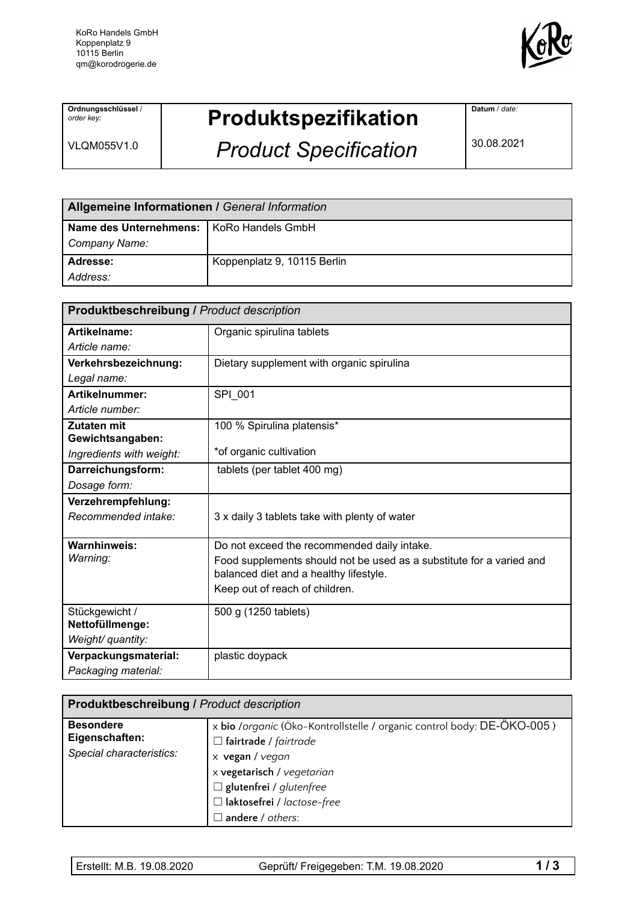

**Ordnungsschlüssel** / *order key:*

VLQM055V1.0

## **Produktspezifikation**

*Product Specification*

**Datum** / *date:*

30.08.2021

| Allgemeine Informationen / General Information |                             |  |
|------------------------------------------------|-----------------------------|--|
| Name des Unternehmens:   KoRo Handels GmbH     |                             |  |
| Company Name:                                  |                             |  |
| Adresse:                                       | Koppenplatz 9, 10115 Berlin |  |
| Address:                                       |                             |  |

| <b>Produktbeschreibung / Product description</b> |                                                                                                                |  |
|--------------------------------------------------|----------------------------------------------------------------------------------------------------------------|--|
| Artikelname:                                     | Organic spirulina tablets                                                                                      |  |
| Article name:                                    |                                                                                                                |  |
| Verkehrsbezeichnung:                             | Dietary supplement with organic spirulina                                                                      |  |
| Legal name:                                      |                                                                                                                |  |
| Artikelnummer:                                   | SPI 001                                                                                                        |  |
| Article number:                                  |                                                                                                                |  |
| Zutaten mit                                      | 100 % Spirulina platensis*                                                                                     |  |
| Gewichtsangaben:                                 |                                                                                                                |  |
| Ingredients with weight:                         | *of organic cultivation                                                                                        |  |
| Darreichungsform:                                | tablets (per tablet 400 mg)                                                                                    |  |
| Dosage form:                                     |                                                                                                                |  |
| Verzehrempfehlung:                               |                                                                                                                |  |
| Recommended intake:                              | 3 x daily 3 tablets take with plenty of water                                                                  |  |
| Warnhinweis:                                     | Do not exceed the recommended daily intake.                                                                    |  |
| Warning:                                         | Food supplements should not be used as a substitute for a varied and<br>balanced diet and a healthy lifestyle. |  |
|                                                  | Keep out of reach of children.                                                                                 |  |
| Stückgewicht /                                   | 500 g (1250 tablets)                                                                                           |  |
| Nettofüllmenge:                                  |                                                                                                                |  |
| Weight/ quantity:                                |                                                                                                                |  |
| Verpackungsmaterial:                             | plastic doypack                                                                                                |  |
| Packaging material:                              |                                                                                                                |  |

| <b>Produktbeschreibung / Product description</b>               |                                                                                                                                                                                                                                                    |  |
|----------------------------------------------------------------|----------------------------------------------------------------------------------------------------------------------------------------------------------------------------------------------------------------------------------------------------|--|
| <b>Besondere</b><br>Eigenschaften:<br>Special characteristics: | x bio /organic (Öko-Kontrollstelle / organic control body: DE-ÖKO-005)<br>$\Box$ fairtrade / fairtrade<br>x vegan / vegan<br>x vegetarisch / vegetarian<br>$\Box$ glutenfrei / glutenfree<br>$\Box$ laktosefrei / lactose-free<br>andere / others: |  |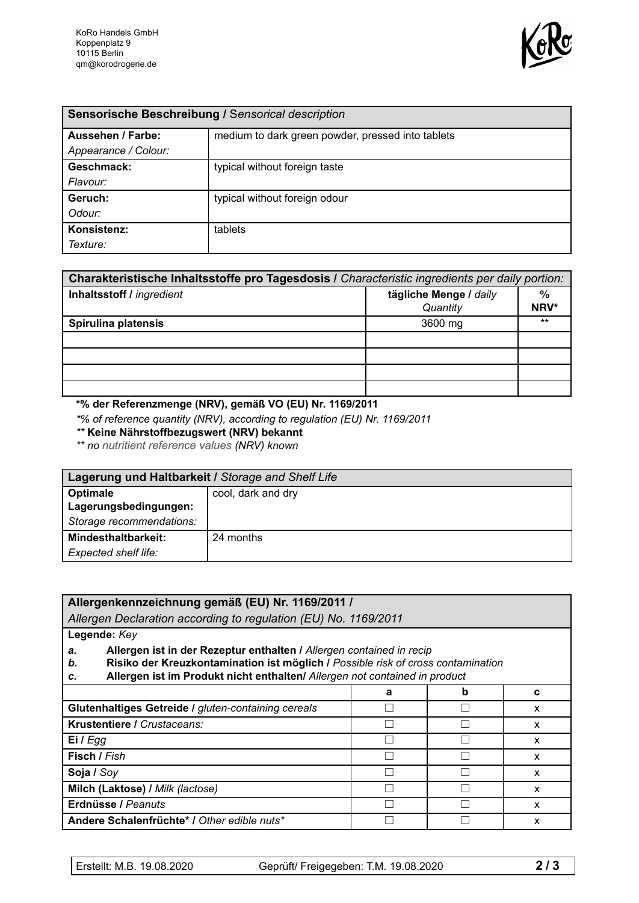

| Sensorische Beschreibung / Sensorical description |                                                   |  |
|---------------------------------------------------|---------------------------------------------------|--|
| <b>Aussehen / Farbe:</b>                          | medium to dark green powder, pressed into tablets |  |
| Appearance / Colour:                              |                                                   |  |
| Geschmack:                                        | typical without foreign taste                     |  |
| Flavour:                                          |                                                   |  |
| Geruch:                                           | typical without foreign odour                     |  |
| Odour:                                            |                                                   |  |
| Konsistenz:                                       | tablets                                           |  |
| Texture:                                          |                                                   |  |

| Charakteristische Inhaltsstoffe pro Tagesdosis I Characteristic ingredients per daily portion: |                                    |              |  |
|------------------------------------------------------------------------------------------------|------------------------------------|--------------|--|
| Inhaltsstoff / ingredient                                                                      | tägliche Menge / daily<br>Quantity | $\%$<br>NRV* |  |
| Spirulina platensis                                                                            | 3600 mg                            | $***$        |  |
|                                                                                                |                                    |              |  |
|                                                                                                |                                    |              |  |
|                                                                                                |                                    |              |  |
|                                                                                                |                                    |              |  |

## **\*% der Referenzmenge (NRV), gemäß VO (EU) Nr. 1169/2011**

*\*% of reference quantity (NRV), according to regulation (EU) Nr. 1169/2011*

*\*\** **Keine Nährstoffbezugswert (NRV) bekannt**

*\*\* no nutritient reference values (NRV) known*

| Lagerung und Haltbarkeit / Storage and Shelf Life |                    |  |
|---------------------------------------------------|--------------------|--|
| Optimale                                          | cool, dark and dry |  |
| Lagerungsbedingungen:                             |                    |  |
| Storage recommendations:                          |                    |  |
| Mindesthaltbarkeit:                               | 24 months          |  |
| Expected shelf life:                              |                    |  |

| Allergenkennzeichnung gemäß (EU) Nr. 1169/2011 /                                                                                                                                                                                                         |   |   |   |
|----------------------------------------------------------------------------------------------------------------------------------------------------------------------------------------------------------------------------------------------------------|---|---|---|
| Allergen Declaration according to regulation (EU) No. 1169/2011                                                                                                                                                                                          |   |   |   |
| Legende: Key                                                                                                                                                                                                                                             |   |   |   |
| Allergen ist in der Rezeptur enthalten / Allergen contained in recip<br>a.<br>Risiko der Kreuzkontamination ist möglich / Possible risk of cross contamination<br>b.<br>Allergen ist im Produkt nicht enthalten/ Allergen not contained in product<br>c. |   |   |   |
|                                                                                                                                                                                                                                                          | a | b | C |
| Glutenhaltiges Getreide / gluten-containing cereals<br>X                                                                                                                                                                                                 |   |   |   |
| Krustentiere / Crustaceans:<br>x                                                                                                                                                                                                                         |   |   |   |
| Ei $I$ Egg                                                                                                                                                                                                                                               |   | X |   |
| Fisch / Fish<br>x                                                                                                                                                                                                                                        |   |   |   |
| Soja / Soy                                                                                                                                                                                                                                               |   | x |   |
| Milch (Laktose) / Milk (lactose)                                                                                                                                                                                                                         |   | x |   |
| Erdnüsse / Peanuts<br>x                                                                                                                                                                                                                                  |   |   |   |
| Andere Schalenfrüchte* / Other edible nuts*<br>x                                                                                                                                                                                                         |   |   |   |